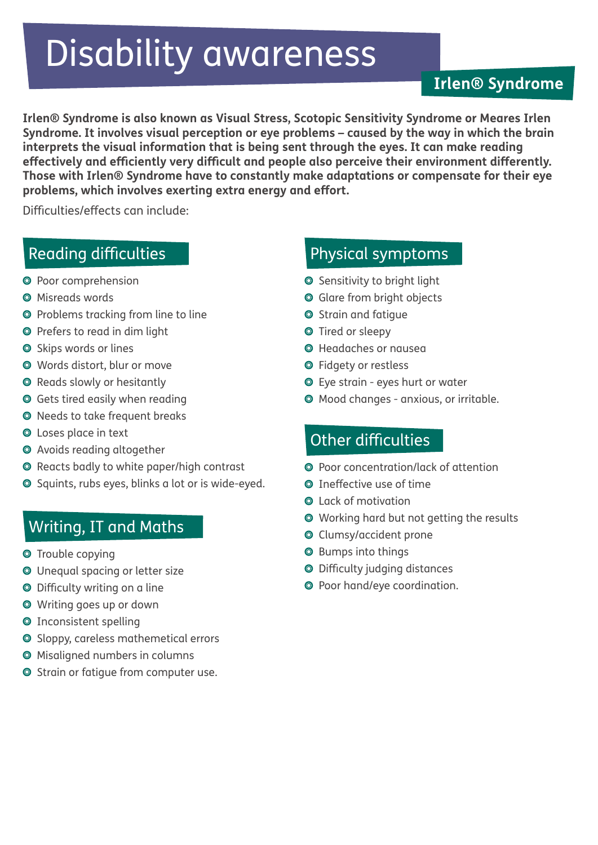# Disability awareness

#### **Irlen® Syndrome**

**Irlen® Syndrome is also known as Visual Stress, Scotopic Sensitivity Syndrome or Meares Irlen Syndrome. It involves visual perception or eye problems – caused by the way in which the brain interprets the visual information that is being sent through the eyes. It can make reading effectively and efficiently very difficult and people also perceive their environment differently. Those with Irlen® Syndrome have to constantly make adaptations or compensate for their eye problems, which involves exerting extra energy and effort.** 

Difficulties/effects can include:

### Reading difficulties

- <sup>O</sup> Poor comprehension
- Misreads words
- ◎ Problems tracking from line to line
- O Prefers to read in dim light
- **Skips words or lines**
- Words distort, blur or move
- **O** Reads slowly or hesitantly
- Gets tired easily when reading
- O Needs to take frequent breaks
- Loses place in text
- Avoids reading altogether
- Reacts badly to white paper/high contrast
- Squints, rubs eyes, blinks a lot or is wide-eyed.

#### Writing, IT and Maths

- **O** Trouble copying
- Unequal spacing or letter size
- Difficulty writing on a line
- Writing goes up or down
- Inconsistent spelling
- Sloppy, careless mathemetical errors
- Misaligned numbers in columns
- **O** Strain or fatigue from computer use.

## Physical symptoms

- **Sensitivity to bright light**
- Glare from bright objects
- **Strain and fatique**
- **O** Tired or sleepy
- Headaches or nausea
- Fidgety or restless
- Eye strain eyes hurt or water
- Mood changes anxious, or irritable.

#### Other difficulties

- Poor concentration/lack of attention
- **O** Ineffective use of time
- **Q** Lack of motivation
- Working hard but not getting the results
- Clumsy/accident prone
- **O** Bumps into things
- Difficulty judging distances
- Poor hand/eye coordination.